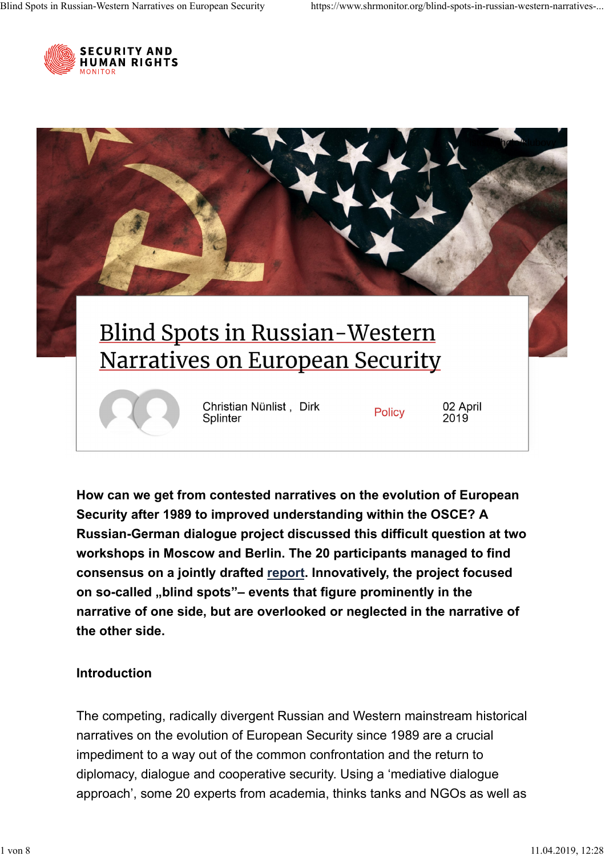



**How can we get from contested narratives on the evolution of European Security after 1989 to improved understanding within the OSCE? A Russian-German dialogue project discussed this difficult question at two workshops in Moscow and Berlin. The 20 participants managed to find** consensus on a jointly drafted <u>report</u>. Innovatively, the project focused on so-called "blind spots"– events that figure prominently in the **narrative of one side, but are overlooked or neglected in the narrative of the other side.**

## **Introduction**

The competing, radically divergent Russian and Western mainstream historical narratives on the evolution of European Security since 1989 are a crucial impediment to a way out of the common confrontation and the return to diplomacy, dialogue and cooperative security. Using a 'mediative dialogue approach', some 20 experts from academia, thinks tanks and NGOs as well as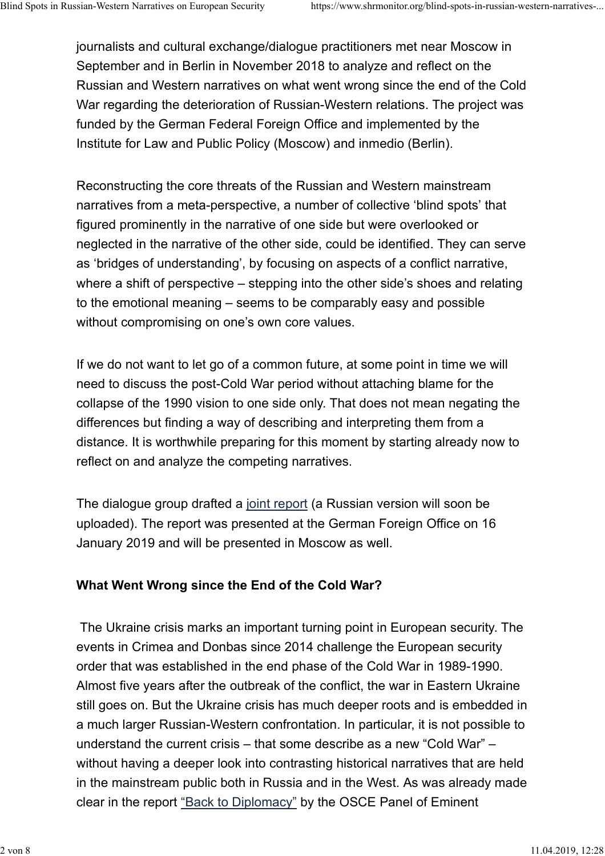journalists and cultural exchange/dialogue practitioners met near Moscow in September and in Berlin in November 2018 to analyze and reflect on the Russian and Western narratives on what went wrong since the end of the Cold War regarding the deterioration of Russian-Western relations. The project was funded by the German Federal Foreign Office and implemented by the Institute for Law and Public Policy (Moscow) and inmedio (Berlin).

Reconstructing the core threats of the Russian and Western mainstream narratives from a meta-perspective, a number of collective 'blind spots' that figured prominently in the narrative of one side but were overlooked or neglected in the narrative of the other side, could be identified. They can serve as 'bridges of understanding', by focusing on aspects of a conflict narrative, where a shift of perspective – stepping into the other side's shoes and relating to the emotional meaning – seems to be comparably easy and possible without compromising on one's own core values.

If we do not want to let go of a common future, at some point in time we will need to discuss the post-Cold War period without attaching blame for the collapse of the 1990 vision to one side only. That does not mean negating the differences but finding a way of describing and interpreting them from a distance. It is worthwhile preparing for this moment by starting already now to reflect on and analyze the competing narratives.

The dialogue group drafted a joint report (a Russian version will soon be uploaded). The report was presented at the German Foreign Office on 16 January 2019 and will be presented in Moscow as well.

# **What Went Wrong since the End of the Cold War?**

The Ukraine crisis marks an important turning point in European security. The events in Crimea and Donbas since 2014 challenge the European security order that was established in the end phase of the Cold War in 1989-1990. Almost five years after the outbreak of the conflict, the war in Eastern Ukraine still goes on. But the Ukraine crisis has much deeper roots and is embedded in a much larger Russian-Western confrontation. In particular, it is not possible to understand the current crisis – that some describe as a new "Cold War" – without having a deeper look into contrasting historical narratives that are held in the mainstream public both in Russia and in the West. As was already made clear in the report <u>"Back to Diplomacy"</u> by the OSCE Panel of Eminent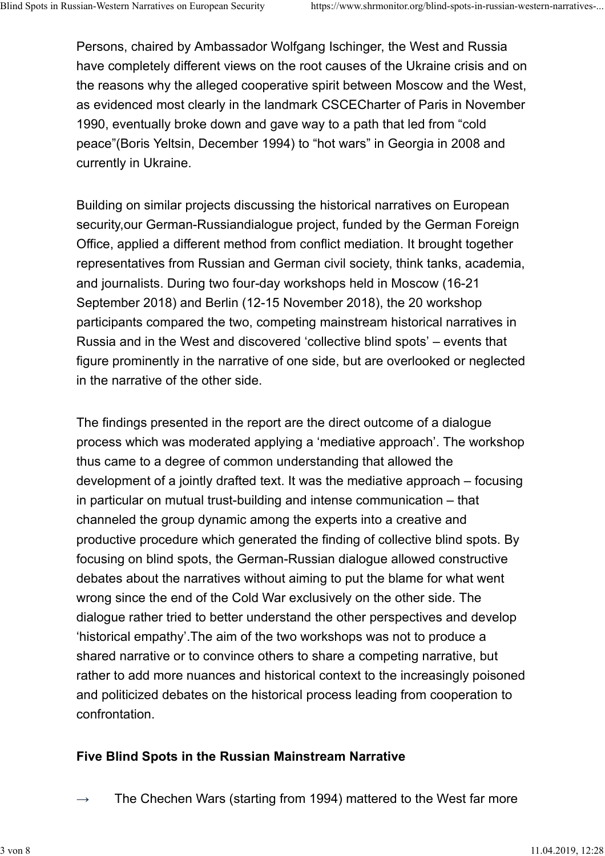Persons, chaired by Ambassador Wolfgang Ischinger, the West and Russia have completely different views on the root causes of the Ukraine crisis and on the reasons why the alleged cooperative spirit between Moscow and the West, as evidenced most clearly in the landmark CSCECharter of Paris in November 1990, eventually broke down and gave way to a path that led from "cold peace"(Boris Yeltsin, December 1994) to "hot wars" in Georgia in 2008 and currently in Ukraine.

Building on similar projects discussing the historical narratives on European security,our German-Russiandialogue project, funded by the German Foreign Office, applied a different method from conflict mediation. It brought together representatives from Russian and German civil society, think tanks, academia, and journalists. During two four-day workshops held in Moscow (16-21 September 2018) and Berlin (12-15 November 2018), the 20 workshop participants compared the two, competing mainstream historical narratives in Russia and in the West and discovered 'collective blind spots' – events that figure prominently in the narrative of one side, but are overlooked or neglected in the narrative of the other side.

The findings presented in the report are the direct outcome of a dialogue process which was moderated applying a 'mediative approach'. The workshop thus came to a degree of common understanding that allowed the development of a jointly drafted text. It was the mediative approach – focusing in particular on mutual trust-building and intense communication – that channeled the group dynamic among the experts into a creative and productive procedure which generated the finding of collective blind spots. By focusing on blind spots, the German-Russian dialogue allowed constructive debates about the narratives without aiming to put the blame for what went wrong since the end of the Cold War exclusively on the other side. The dialogue rather tried to better understand the other perspectives and develop 'historical empathy'.The aim of the two workshops was not to produce a shared narrative or to convince others to share a competing narrative, but rather to add more nuances and historical context to the increasingly poisoned and politicized debates on the historical process leading from cooperation to confrontation.

# **Five Blind Spots in the Russian Mainstream Narrative**

**→** The Chechen Wars (starting from 1994) mattered to the West far more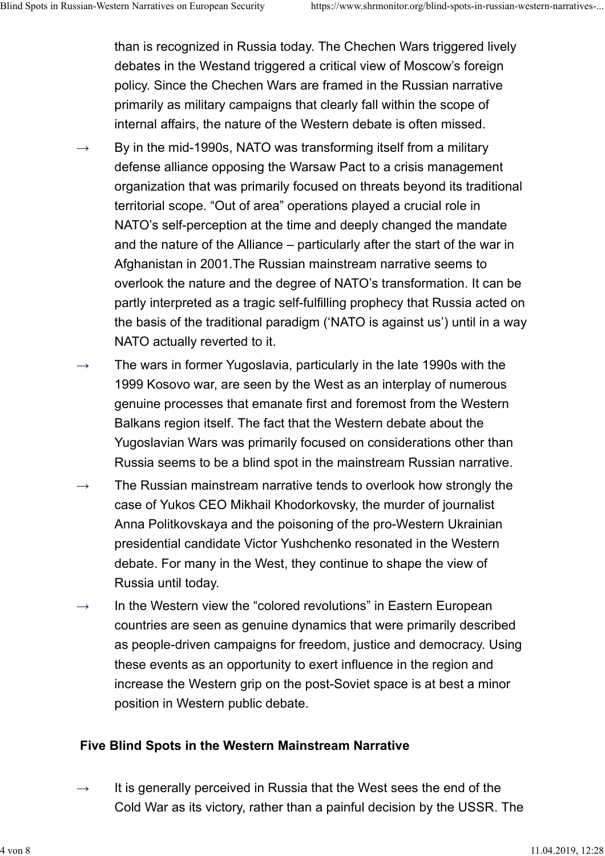than is recognized in Russia today. The Chechen Wars triggered lively debates in the Westand triggered a critical view of Moscow's foreign policy. Since the Chechen Wars are framed in the Russian narrative primarily as military campaigns that clearly fall within the scope of internal affairs, the nature of the Western debate is often missed.

- By in the mid-1990s, NATO was transforming itself from a military defense alliance opposing the Warsaw Pact to a crisis management organization that was primarily focused on threats beyond its traditional territorial scope. "Out of area" operations played a crucial role in NATO's self-perception at the time and deeply changed the mandate and the nature of the Alliance – particularly after the start of the war in Afghanistan in 2001.The Russian mainstream narrative seems to overlook the nature and the degree of NATO's transformation. It can be partly interpreted as a tragic self-fulfilling prophecy that Russia acted on the basis of the traditional paradigm ('NATO is against us') until in a way NATO actually reverted to it. **→**
- The wars in former Yugoslavia, particularly in the late 1990s with the 1999 Kosovo war, are seen by the West as an interplay of numerous genuine processes that emanate first and foremost from the Western Balkans region itself. The fact that the Western debate about the Yugoslavian Wars was primarily focused on considerations other than Russia seems to be a blind spot in the mainstream Russian narrative. **→**
- The Russian mainstream narrative tends to overlook how strongly the case of Yukos CEO Mikhail Khodorkovsky, the murder of journalist Anna Politkovskaya and the poisoning of the pro-Western Ukrainian presidential candidate Victor Yushchenko resonated in the Western debate. For many in the West, they continue to shape the view of Russia until today. **→**
- In the Western view the "colored revolutions" in Eastern European countries are seen as genuine dynamics that were primarily described as people-driven campaigns for freedom, justice and democracy. Using these events as an opportunity to exert influence in the region and increase the Western grip on the post-Soviet space is at best a minor position in Western public debate. **→**

### **Five Blind Spots in the Western Mainstream Narrative**

It is generally perceived in Russia that the West sees the end of the Cold War as its victory, rather than a painful decision by the USSR. The **→**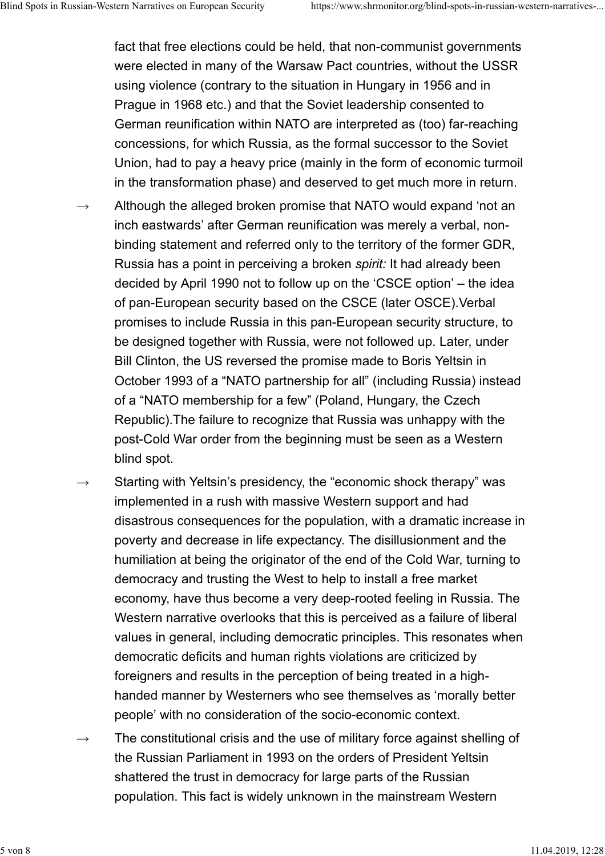fact that free elections could be held, that non-communist governments were elected in many of the Warsaw Pact countries, without the USSR using violence (contrary to the situation in Hungary in 1956 and in Prague in 1968 etc.) and that the Soviet leadership consented to German reunification within NATO are interpreted as (too) far-reaching concessions, for which Russia, as the formal successor to the Soviet Union, had to pay a heavy price (mainly in the form of economic turmoil in the transformation phase) and deserved to get much more in return.

- Although the alleged broken promise that NATO would expand 'not an inch eastwards' after German reunification was merely a verbal, nonbinding statement and referred only to the territory of the former GDR, Russia has a point in perceiving a broken *spirit:* It had already been decided by April 1990 not to follow up on the 'CSCE option' – the idea of pan-European security based on the CSCE (later OSCE).Verbal promises to include Russia in this pan-European security structure, to be designed together with Russia, were not followed up. Later, under Bill Clinton, the US reversed the promise made to Boris Yeltsin in October 1993 of a "NATO partnership for all" (including Russia) instead of a "NATO membership for a few" (Poland, Hungary, the Czech Republic).The failure to recognize that Russia was unhappy with the post-Cold War order from the beginning must be seen as a Western blind spot. **→**
- Starting with Yeltsin's presidency, the "economic shock therapy" was implemented in a rush with massive Western support and had disastrous consequences for the population, with a dramatic increase in poverty and decrease in life expectancy. The disillusionment and the humiliation at being the originator of the end of the Cold War, turning to democracy and trusting the West to help to install a free market economy, have thus become a very deep-rooted feeling in Russia. The Western narrative overlooks that this is perceived as a failure of liberal values in general, including democratic principles. This resonates when democratic deficits and human rights violations are criticized by foreigners and results in the perception of being treated in a highhanded manner by Westerners who see themselves as 'morally better people' with no consideration of the socio-economic context. **→**
- The constitutional crisis and the use of military force against shelling of the Russian Parliament in 1993 on the orders of President Yeltsin shattered the trust in democracy for large parts of the Russian population. This fact is widely unknown in the mainstream Western **→**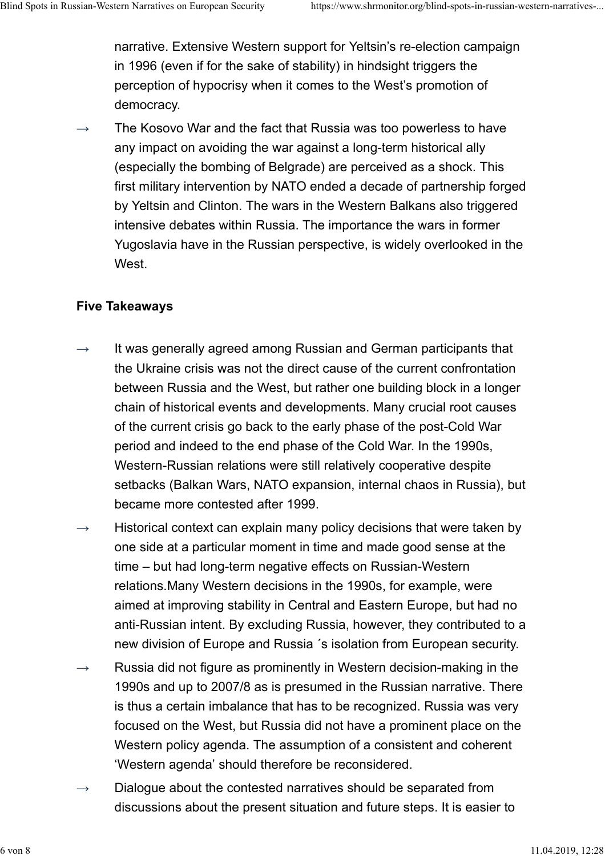narrative. Extensive Western support for Yeltsin's re-election campaign in 1996 (even if for the sake of stability) in hindsight triggers the perception of hypocrisy when it comes to the West's promotion of democracy.

The Kosovo War and the fact that Russia was too powerless to have any impact on avoiding the war against a long-term historical ally (especially the bombing of Belgrade) are perceived as a shock. This first military intervention by NATO ended a decade of partnership forged by Yeltsin and Clinton. The wars in the Western Balkans also triggered intensive debates within Russia. The importance the wars in former Yugoslavia have in the Russian perspective, is widely overlooked in the West. **→**

### **Five Takeaways**

- It was generally agreed among Russian and German participants that the Ukraine crisis was not the direct cause of the current confrontation between Russia and the West, but rather one building block in a longer chain of historical events and developments. Many crucial root causes of the current crisis go back to the early phase of the post-Cold War period and indeed to the end phase of the Cold War. In the 1990s, Western-Russian relations were still relatively cooperative despite setbacks (Balkan Wars, NATO expansion, internal chaos in Russia), but became more contested after 1999. **→**
- Historical context can explain many policy decisions that were taken by one side at a particular moment in time and made good sense at the time – but had long-term negative effects on Russian-Western relations.Many Western decisions in the 1990s, for example, were aimed at improving stability in Central and Eastern Europe, but had no anti-Russian intent. By excluding Russia, however, they contributed to a new division of Europe and Russia ´s isolation from European security. **→**
- Russia did not figure as prominently in Western decision-making in the 1990s and up to 2007/8 as is presumed in the Russian narrative. There is thus a certain imbalance that has to be recognized. Russia was very focused on the West, but Russia did not have a prominent place on the Western policy agenda. The assumption of a consistent and coherent 'Western agenda' should therefore be reconsidered. **→**
- Dialogue about the contested narratives should be separated from discussions about the present situation and future steps. It is easier to **→**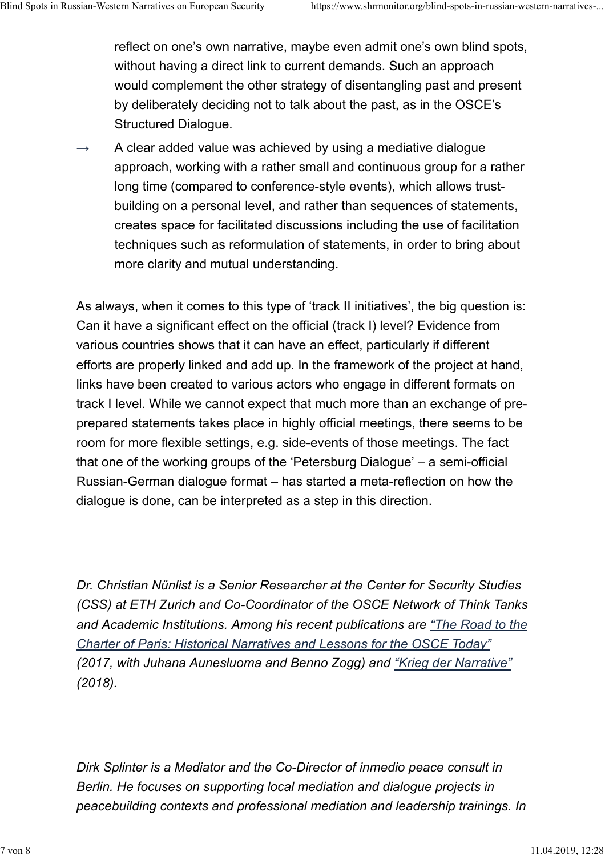reflect on one's own narrative, maybe even admit one's own blind spots, without having a direct link to current demands. Such an approach would complement the other strategy of disentangling past and present by deliberately deciding not to talk about the past, as in the OSCE's Structured Dialogue.

A clear added value was achieved by using a mediative dialogue approach, working with a rather small and continuous group for a rather long time (compared to conference-style events), which allows trustbuilding on a personal level, and rather than sequences of statements, creates space for facilitated discussions including the use of facilitation techniques such as reformulation of statements, in order to bring about more clarity and mutual understanding. **→**

As always, when it comes to this type of 'track II initiatives', the big question is: Can it have a significant effect on the official (track I) level? Evidence from various countries shows that it can have an effect, particularly if different efforts are properly linked and add up. In the framework of the project at hand, links have been created to various actors who engage in different formats on track I level. While we cannot expect that much more than an exchange of preprepared statements takes place in highly official meetings, there seems to be room for more flexible settings, e.g. side-events of those meetings. The fact that one of the working groups of the 'Petersburg Dialogue' – a semi-official Russian-German dialogue format – has started a meta-reflection on how the dialogue is done, can be interpreted as a step in this direction.

*Dr. Christian Nünlist is a Senior Researcher at the Center for Security Studies (CSS) at ETH Zurich and Co-Coordinator of the OSCE Network of Think Tanks and Academic Institutions. Among his recent publications are "The Road to the (2017, with Juhana Aunesluoma and Benno Zogg) and "Krieg der Narrative" (2018). Charter of Paris: Historical Narratives and Lessons for the OSCE Today"*

*Dirk Splinter is a Mediator and the Co-Director of inmedio peace consult in Berlin. He focuses on supporting local mediation and dialogue projects in peacebuilding contexts and professional mediation and leadership trainings. In*